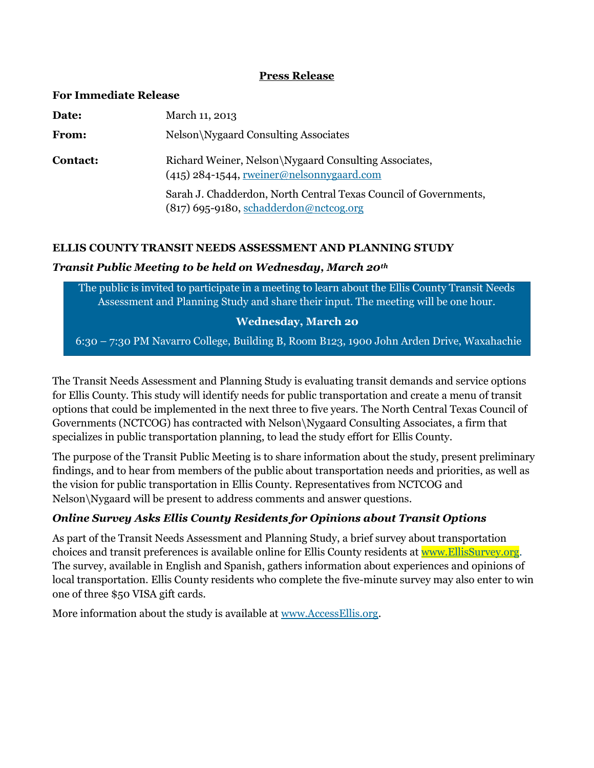#### **Press Release**

| <b>For Immediate Release</b> |                                                                                                              |
|------------------------------|--------------------------------------------------------------------------------------------------------------|
| Date:                        | March 11, 2013                                                                                               |
| From:                        | Nelson\Nygaard Consulting Associates                                                                         |
| Contact:                     | Richard Weiner, Nelson\Nygaard Consulting Associates,<br>$(415)$ 284-1544, rweiner@nelsonnygaard.com         |
|                              | Sarah J. Chadderdon, North Central Texas Council of Governments,<br>$(817)$ 695-9180, schadderdon@nctcog.org |

### **ELLIS COUNTY TRANSIT NEEDS ASSESSMENT AND PLANNING STUDY**

#### *Transit Public Meeting to be held on Wednesday, March 20th*

The public is invited to participate in a meeting to learn about the Ellis County Transit Needs Assessment and Planning Study and share their input. The meeting will be one hour.

### **Wednesday, March 20**

6:30 – 7:30 PM Navarro College, Building B, Room B123, 1900 John Arden Drive, Waxahachie

The Transit Needs Assessment and Planning Study is evaluating transit demands and service options for Ellis County. This study will identify needs for public transportation and create a menu of transit options that could be implemented in the next three to five years. The North Central Texas Council of Governments (NCTCOG) has contracted with Nelson\Nygaard Consulting Associates, a firm that specializes in public transportation planning, to lead the study effort for Ellis County.

The purpose of the Transit Public Meeting is to share information about the study, present preliminary findings, and to hear from members of the public about transportation needs and priorities, as well as the vision for public transportation in Ellis County. Representatives from NCTCOG and Nelson\Nygaard will be present to address comments and answer questions.

### *Online Survey Asks Ellis County Residents for Opinions about Transit Options*

As part of the Transit Needs Assessment and Planning Study, a brief survey about transportation choices and transit preferences is available online for Ellis County residents at [www.EllisSurvey.org.](http://www.ellissurvey.org/) The survey, available in English and Spanish, gathers information about experiences and opinions of local transportation. Ellis County residents who complete the five-minute survey may also enter to win one of three \$50 VISA gift cards.

More information about the study is available at [www.AccessEllis.org.](http://www.accessellis.org/)